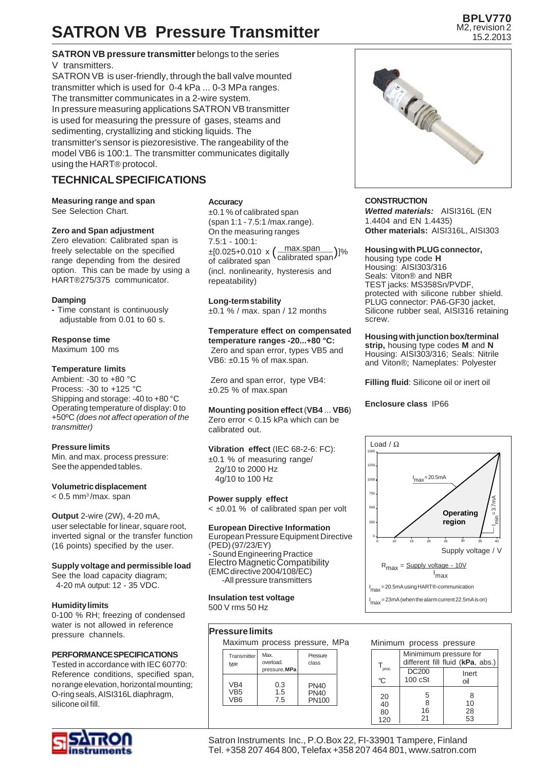## **SATRON VB Pressure Transmitter**

#### **SATRON VB pressure transmitter** belongs to the series V transmitters.

SATRON VB is user-friendly, through the ball valve mounted transmitter which is used for 0-4 kPa ... 0-3 MPa ranges. The transmitter communicates in a 2-wire system. In pressure measuring applications SATRON VB transmitter is used for measuring the pressure of gases, steams and sedimenting, crystallizing and sticking liquids. The transmitter's sensor is piezoresistive. The rangeability of the model VB6 is 100:1. The transmitter communicates digitally using the HART® protocol.

## **TECHNICAL SPECIFICATIONS**

**Measuring range and span** See Selection Chart.

#### **Zero and Span adjustment**

Zero elevation: Calibrated span is freely selectable on the specified range depending from the desired option. This can be made by using a HART®275/375 communicator.

#### **Damping**

**-** Time constant is continuously adjustable from 0.01 to 60 s.

#### **Response time**

Maximum 100 ms

#### **Temperature limits**

Ambient: -30 to +80 °C Process: -30 to +125 °C Shipping and storage: -40 to +80 °C Operating temperature of display: 0 to +50ºC *(does not affect operation of the transmitter)*

#### **Pressure limits**

Min. and max. process pressure: See the appended tables.

#### **Volumetric displacement**

 $< 0.5$  mm<sup>3</sup>/max. span

#### **Output** 2-wire (2W), 4-20 mA, user selectable for linear, square root, inverted signal or the transfer function (16 points) specified by the user.

#### **Supply voltage and permissible load**

See the load capacity diagram; 4-20 mA output: 12 - 35 VDC.

#### **Humidity limits**

0-100 % RH; freezing of condensed water is not allowed in reference pressure channels.

#### **PERFORMANCE SPECIFICATIONS**

Tested in accordance with IEC 60770: Reference conditions, specified span, no range elevation, horizontal mounting; O-ring seals, AISI316L diaphragm, silicone oil fill.



#### **Accuracy**

±0.1 % of calibrated span (span 1:1 - 7.5:1 /max.range). On the measuring ranges 7.5:1 - 100:1: (incl. nonlinearity, hysteresis and repeatability) max.span calibrated span ±[0.025+0.010 x ]% ( ) of calibrated span

#### **Long-term stability**

 $\pm 0.1$  % / max. span / 12 months

#### **Temperature effect on compensated temperature ranges -20...+80 °C:** Zero and span error, types VB5 and VB6: ±0.15 % of max.span.

 Zero and span error, type VB4: ±0.25 % of max.span

### **Mounting position effect** (**VB4** ... **VB6**)

Zero error < 0.15 kPa which can be calibrated out.

**Vibration effect** (IEC 68-2-6: FC): ±0.1 % of measuring range/

 2g/10 to 2000 Hz 4g/10 to 100 Hz

#### **Power supply effect**

< ±0.01 % of calibrated span per volt

#### **European Directive Information**

European Pressure Equipment Directive (PED) (97/23/EY) Sound Engineering Practice Electro Magnetic Compatibility (EMC directive 2004/108/EC) -All pressure transmitters

**Insulation test voltage** 500 V rms 50 Hz

#### **Pressure limits**

Maximum process pressure, MPa

|                               | iviaximum process pressure, ivir   |                                            |
|-------------------------------|------------------------------------|--------------------------------------------|
| Transmitter<br>type           | Max.<br>overload.<br>pressure, MPa | Pressure<br>class                          |
| VB4<br>VB5<br>VB <sub>6</sub> | 0.3<br>1.5<br>7.5                  | <b>PN40</b><br><b>PN40</b><br><b>PN100</b> |

### **BPLV770** M2, revision 2

15.2.2013



#### **CONSTRUCTION**

*Wetted materials:* AISI316L (EN 1.4404 and EN 1.4435) **Other materials:** AISI316L, AISI303

#### **Housing with PLUG connector,**

housing type code **H** Housing: AISI303/316 Seals: Viton® and NBR TEST jacks: MS358Sn/PVDF, protected with silicone rubber shield. PLUG connector: PA6-GF30 jacket, Silicone rubber seal, AISI316 retaining screw.

**Housing with junction box/terminal strip,** housing type codes **M** and **N** Housing: AISI303/316; Seals: Nitrile and Viton®; Nameplates: Polyester

**Filling fluid**: Silicone oil or inert oil

#### **Enclosure class** IP66



| Minimum process pressure      |                                                            |       |  |  |
|-------------------------------|------------------------------------------------------------|-------|--|--|
|                               | Minimimum pressure for<br>different fill fluid (kPa, abs.) |       |  |  |
| $\mathsf{T}_{\mathsf{proc.}}$ | <b>DC200</b>                                               | Inert |  |  |
| °C                            | $100 \cS$ t                                                | oil   |  |  |
| 20                            | 5                                                          | 8     |  |  |
| 40                            | 8                                                          | 10    |  |  |
| 80                            | 16                                                         | 28    |  |  |
| 120                           | 21                                                         | 53    |  |  |

Satron Instruments Inc., P.O.Box 22, FI-33901 Tampere, Finland Tel. +358 207 464 800, Telefax +358 207 464 801, www.satron.com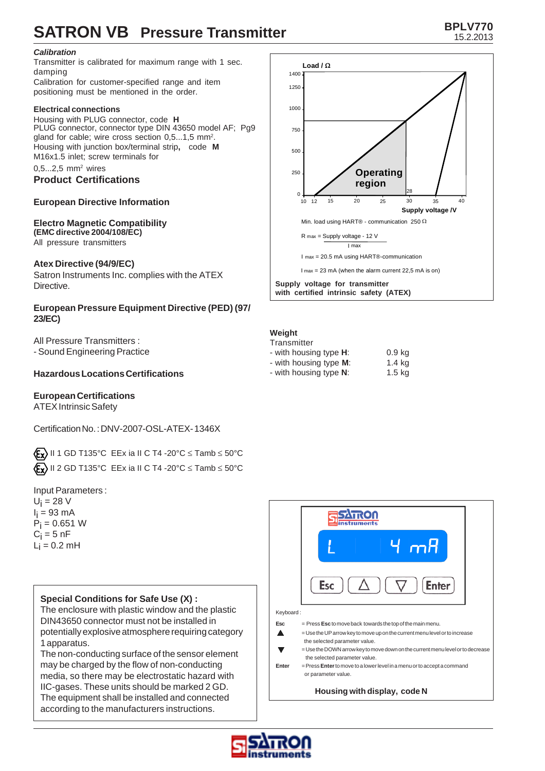## **SATRON VB** Pressure Transmitter **BPLV770 BPLV770**

## *Calibration*

Transmitter is calibrated for maximum range with 1 sec. damping Calibration for customer-specified range and item

positioning must be mentioned in the order.

### **Electrical connections**

Housing with PLUG connector, code **H** PLUG connector, connector type DIN 43650 model AF; Pg9 gland for cable; wire cross section 0,5...1,5 mm<sup>2</sup>. Housing with junction box/terminal strip**,** code **M** M16x1.5 inlet; screw terminals for  $0, 5...2, 5$  mm<sup>2</sup> wires

## **Product Certifications**

## **European Directive Information**

#### **Electro Magnetic Compatibility (EMC directive 2004/108/EC)**

All pressure transmitters

## **Atex Directive (94/9/EC)**

Satron Instruments Inc. complies with the ATEX Directive.

### **European Pressure Equipment Directive (PED) (97/ 23/EC)**

All Pressure Transmitters : - Sound Engineering Practice

## **Hazardous Locations Certifications**

## **European Certifications**

ATEX Intrinsic Safety

Certification No. : DNV-2007-OSL-ATEX- 1346X

 $\langle \xi_{\mathbf{X}} \rangle$  II 1 GD T135°C EEx ia II C T4 -20°C  $\leq$  Tamb  $\leq$  50°C  $\langle \mathbf{F}_{\mathbf{X}} \rangle$  II 2 GD T135°C EEx ia II C T4 -20°C  $\leq$  Tamb  $\leq$  50°C

Input Parameters :

 $U_i = 28$  V l<sub>i</sub> = 93 mA  $P_i = 0.651 W$  $\mathrm{C_{i}}$  = 5 nF  $L_i = 0.2$  mH

## **Special Conditions for Safe Use (X) :**

The enclosure with plastic window and the plastic DIN43650 connector must not be installed in potentially explosive atmosphere requiring category 1 apparatus.

The non-conducting surface of the sensor element may be charged by the flow of non-conducting media, so there may be electrostatic hazard with IIC-gases. These units should be marked 2 GD. The equipment shall be installed and connected according to the manufacturers instructions.



#### **Weight**

| Transmitter                    |                   |
|--------------------------------|-------------------|
| - with housing type <b>H</b> : | 0.9 <sub>kg</sub> |
| - with housing type <b>M</b> : | $1.4$ kg          |
| - with housing type N:         | 1.5 kg            |



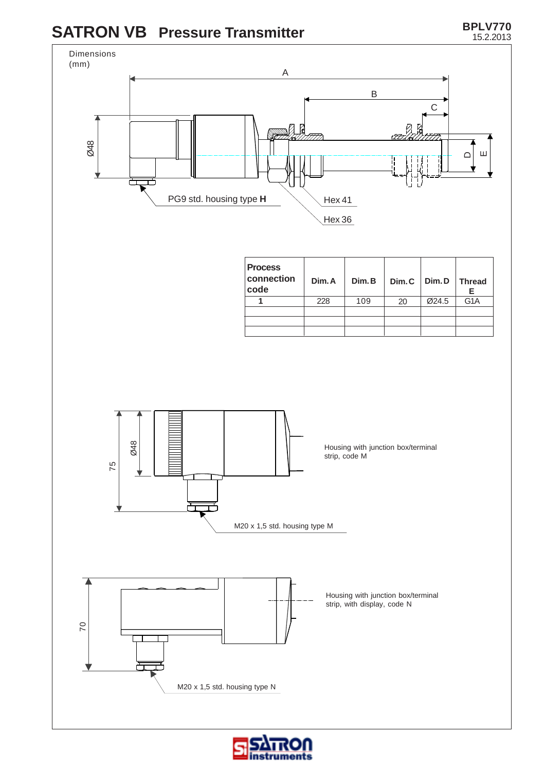## **SATRON VB Pressure Transmitter**



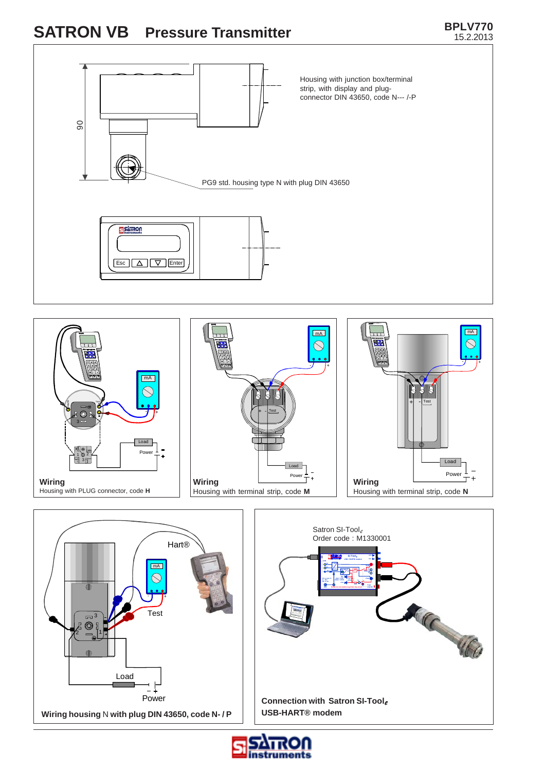# **SATRON VB** Pressure Transmitter **BPLV770**

### Housing with junction box/terminal strip, with display and plugconnector DIN 43650, code N--- /-P 90 PG9 std. housing type N with plug DIN 43650 **SISTILIOU** Esc  $\boxed{\triangle}$   $\boxed{\triangledown}$  Enter  $mA$  $\sqrt{mA}$  $\bigcirc$  $\bigcirc$  $\tau$  + - + mA  $+$  - Test Hart® Test  $\bm{\tau}$ + - Test  $\circledcirc$ 3 Load 2 Power 1 © 2<br>귀 3日 Load Load Pow Power **Wiring Wiring Wiring** Housing with PLUG connector, code **H** Housing with terminal strip, code **M** Housing with terminal strip, code **N** Satron SI-Tool*e* Order code : M1330001 **Hart® Si-Tool***e* **USB / HART modem <sup>R</sup> Umwww.satron.com**  $\sqrt{mA}$  $\mathcal{S}% _{M_{1},M_{2}}^{\alpha,\beta}(\mathbf{0})$ **Um-Ext. p ower in 4mA = 0.4V <sup>I</sup> 100R Um+ ON/OFF IP40 NOTE! Do not switch Vsup ON in live circuit** ACC 460 - + <sup>3</sup> Test  $\overline{\bigcirc}$ Load Power **Connection with Satron SI-Tool***e*

**Wiring housing** N **with plug DIN 43650, code N- / P**



**USB-HART® modem**

15.2.2013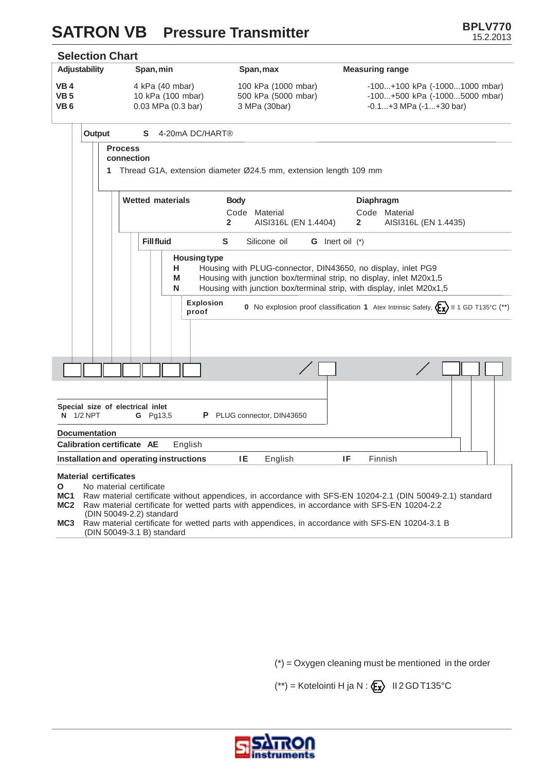## **SATRON VB** Pressure Transmitter **BPLV770 BPLV770**



(DIN 50049-2.2) standard<br>MC3 Raw material certificate fo **MC3** Raw material certificate for wetted parts with appendices, in accordance with SFS-EN 10204-3.1 B (DIN 50049-3.1 B) standard

 $(*)$  = Oxygen cleaning must be mentioned in the order

 $(**)$  = Kotelointi H ja N :  $\langle \mathbf{\hat{E}} \mathbf{x} \rangle$  II 2 GD T135°C